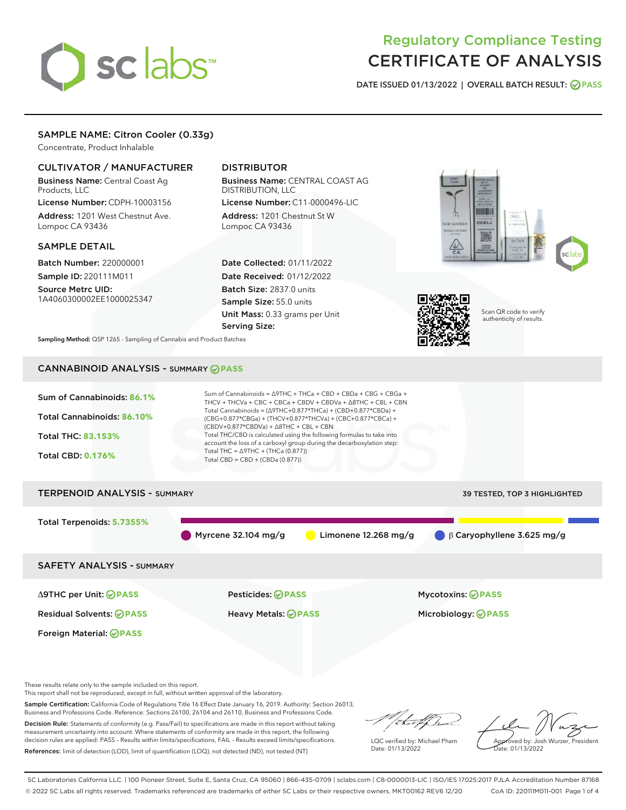# sclabs<sup>\*</sup>

# Regulatory Compliance Testing CERTIFICATE OF ANALYSIS

DATE ISSUED 01/13/2022 | OVERALL BATCH RESULT: @ PASS

# SAMPLE NAME: Citron Cooler (0.33g)

Concentrate, Product Inhalable

## CULTIVATOR / MANUFACTURER

Business Name: Central Coast Ag Products, LLC License Number: CDPH-10003156

Address: 1201 West Chestnut Ave. Lompoc CA 93436

#### SAMPLE DETAIL

Batch Number: 220000001 Sample ID: 220111M011

Source Metrc UID: 1A4060300002EE1000025347

# DISTRIBUTOR

Business Name: CENTRAL COAST AG DISTRIBUTION, LLC License Number: C11-0000496-LIC

Address: 1201 Chestnut St W Lompoc CA 93436

Date Collected: 01/11/2022 Date Received: 01/12/2022 Batch Size: 2837.0 units Sample Size: 55.0 units Unit Mass: 0.33 grams per Unit Serving Size:





Scan QR code to verify authenticity of results.

Sampling Method: QSP 1265 - Sampling of Cannabis and Product Batches

# CANNABINOID ANALYSIS - SUMMARY **PASS**



This report shall not be reproduced, except in full, without written approval of the laboratory.

Sample Certification: California Code of Regulations Title 16 Effect Date January 16, 2019. Authority: Section 26013, Business and Professions Code. Reference: Sections 26100, 26104 and 26110, Business and Professions Code.

Decision Rule: Statements of conformity (e.g. Pass/Fail) to specifications are made in this report without taking measurement uncertainty into account. Where statements of conformity are made in this report, the following decision rules are applied: PASS – Results within limits/specifications, FAIL – Results exceed limits/specifications. References: limit of detection (LOD), limit of quantification (LOQ), not detected (ND), not tested (NT)

that fCh

LQC verified by: Michael Pham Date: 01/13/2022

Approved by: Josh Wurzer, President ate: 01/13/2022

SC Laboratories California LLC. | 100 Pioneer Street, Suite E, Santa Cruz, CA 95060 | 866-435-0709 | sclabs.com | C8-0000013-LIC | ISO/IES 17025:2017 PJLA Accreditation Number 87168 © 2022 SC Labs all rights reserved. Trademarks referenced are trademarks of either SC Labs or their respective owners. MKT00162 REV6 12/20 CoA ID: 220111M011-001 Page 1 of 4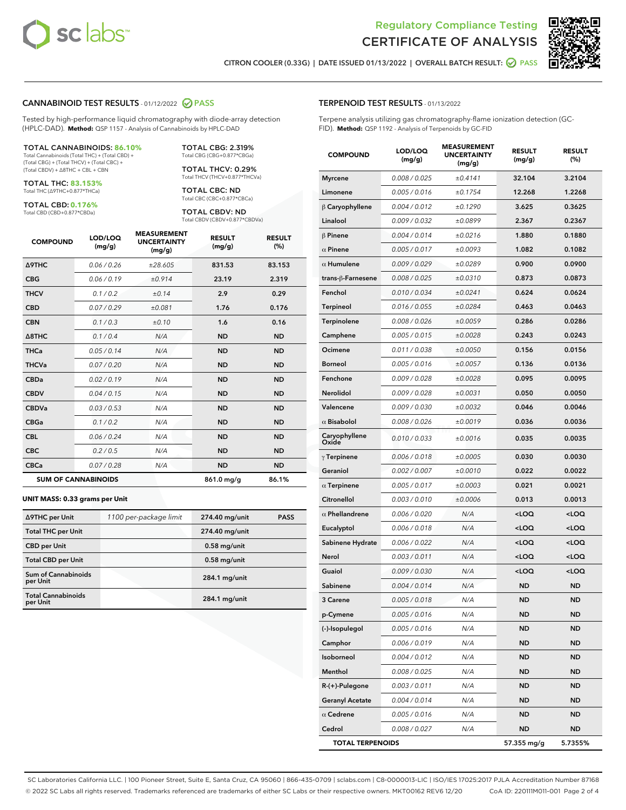



CITRON COOLER (0.33G) | DATE ISSUED 01/13/2022 | OVERALL BATCH RESULT: 2 PASS

#### CANNABINOID TEST RESULTS - 01/12/2022 2 PASS

Tested by high-performance liquid chromatography with diode-array detection (HPLC-DAD). **Method:** QSP 1157 - Analysis of Cannabinoids by HPLC-DAD

#### TOTAL CANNABINOIDS: **86.10%**

Total Cannabinoids (Total THC) + (Total CBD) + (Total CBG) + (Total THCV) + (Total CBC) + (Total CBDV) + ∆8THC + CBL + CBN

TOTAL THC: **83.153%** Total THC (∆9THC+0.877\*THCa)

TOTAL CBD: **0.176%**

Total CBD (CBD+0.877\*CBDa)

TOTAL CBG: 2.319% Total CBG (CBG+0.877\*CBGa)

TOTAL THCV: 0.29% Total THCV (THCV+0.877\*THCVa)

TOTAL CBC: ND Total CBC (CBC+0.877\*CBCa)

TOTAL CBDV: ND Total CBDV (CBDV+0.877\*CBDVa)

| <b>COMPOUND</b>            | LOD/LOQ<br>(mg/g) | <b>MEASUREMENT</b><br><b>UNCERTAINTY</b><br>(mg/g) | <b>RESULT</b><br>(mg/g) | <b>RESULT</b><br>(%) |
|----------------------------|-------------------|----------------------------------------------------|-------------------------|----------------------|
| <b>A9THC</b>               | 0.06 / 0.26       | ±28.605                                            | 831.53                  | 83.153               |
| <b>CBG</b>                 | 0.06/0.19         | ±0.914                                             | 23.19                   | 2.319                |
| <b>THCV</b>                | 0.1 / 0.2         | ±0.14                                              | 2.9                     | 0.29                 |
| <b>CBD</b>                 | 0.07/0.29         | ±0.081                                             | 1.76                    | 0.176                |
| <b>CBN</b>                 | 0.1 / 0.3         | ±0.10                                              | 1.6                     | 0.16                 |
| $\triangle$ 8THC           | 0.1 / 0.4         | N/A                                                | <b>ND</b>               | <b>ND</b>            |
| <b>THCa</b>                | 0.05/0.14         | N/A                                                | <b>ND</b>               | <b>ND</b>            |
| <b>THCVa</b>               | 0.07/0.20         | N/A                                                | <b>ND</b>               | <b>ND</b>            |
| <b>CBDa</b>                | 0.02/0.19         | N/A                                                | <b>ND</b>               | <b>ND</b>            |
| <b>CBDV</b>                | 0.04 / 0.15       | N/A                                                | <b>ND</b>               | <b>ND</b>            |
| <b>CBDVa</b>               | 0.03/0.53         | N/A                                                | <b>ND</b>               | <b>ND</b>            |
| <b>CBGa</b>                | 0.1/0.2           | N/A                                                | <b>ND</b>               | <b>ND</b>            |
| <b>CBL</b>                 | 0.06 / 0.24       | N/A                                                | <b>ND</b>               | <b>ND</b>            |
| <b>CBC</b>                 | 0.2 / 0.5         | N/A                                                | <b>ND</b>               | <b>ND</b>            |
| <b>CBCa</b>                | 0.07/0.28         | N/A                                                | <b>ND</b>               | <b>ND</b>            |
| <b>SUM OF CANNABINOIDS</b> |                   |                                                    | 861.0 mg/g              | 86.1%                |

#### **UNIT MASS: 0.33 grams per Unit**

| ∆9THC per Unit                         | 1100 per-package limit | 274.40 mg/unit  | <b>PASS</b> |
|----------------------------------------|------------------------|-----------------|-------------|
| <b>Total THC per Unit</b>              |                        | 274.40 mg/unit  |             |
| <b>CBD per Unit</b>                    |                        | $0.58$ mg/unit  |             |
| <b>Total CBD per Unit</b>              |                        | $0.58$ mg/unit  |             |
| <b>Sum of Cannabinoids</b><br>per Unit |                        | $284.1$ mg/unit |             |
| <b>Total Cannabinoids</b><br>per Unit  |                        | $284.1$ mg/unit |             |

| <b>COMPOUND</b>         | LOD/LOQ<br>(mg/g) | <b>MEASUREMENT</b><br><b>UNCERTAINTY</b><br>(mg/g) | <b>RESULT</b><br>(mg/g)                         | <b>RESULT</b><br>$(\%)$ |
|-------------------------|-------------------|----------------------------------------------------|-------------------------------------------------|-------------------------|
| <b>Myrcene</b>          | 0.008 / 0.025     | ±0.4141                                            | 32.104                                          | 3.2104                  |
| Limonene                | 0.005 / 0.016     | ±0.1754                                            | 12.268                                          | 1.2268                  |
| $\beta$ Caryophyllene   | 0.004 / 0.012     | ±0.1290                                            | 3.625                                           | 0.3625                  |
| Linalool                | 0.009 / 0.032     | ±0.0899                                            | 2.367                                           | 0.2367                  |
| <b>β Pinene</b>         | 0.004 / 0.014     | ±0.0216                                            | 1.880                                           | 0.1880                  |
| $\alpha$ Pinene         | 0.005 / 0.017     | ±0.0093                                            | 1.082                                           | 0.1082                  |
| $\alpha$ Humulene       | 0.009 / 0.029     | ±0.0289                                            | 0.900                                           | 0.0900                  |
| trans-β-Farnesene       | 0.008 / 0.025     | ±0.0310                                            | 0.873                                           | 0.0873                  |
| Fenchol                 | 0.010 / 0.034     | ±0.0241                                            | 0.624                                           | 0.0624                  |
| Terpineol               | 0.016 / 0.055     | ±0.0284                                            | 0.463                                           | 0.0463                  |
| Terpinolene             | 0.008 / 0.026     | ±0.0059                                            | 0.286                                           | 0.0286                  |
| Camphene                | 0.005 / 0.015     | ±0.0028                                            | 0.243                                           | 0.0243                  |
| Ocimene                 | 0.011 / 0.038     | ±0.0050                                            | 0.156                                           | 0.0156                  |
| <b>Borneol</b>          | 0.005 / 0.016     | ±0.0057                                            | 0.136                                           | 0.0136                  |
| Fenchone                | 0.009 / 0.028     | ±0.0028                                            | 0.095                                           | 0.0095                  |
| Nerolidol               | 0.009 / 0.028     | ±0.0031                                            | 0.050                                           | 0.0050                  |
| Valencene               | 0.009 / 0.030     | ±0.0032                                            | 0.046                                           | 0.0046                  |
| $\alpha$ Bisabolol      | 0.008 / 0.026     | ±0.0019                                            | 0.036                                           | 0.0036                  |
| Caryophyllene<br>Oxide  | 0.010 / 0.033     | ±0.0016                                            | 0.035                                           | 0.0035                  |
| $\gamma$ Terpinene      | 0.006 / 0.018     | ±0.0005                                            | 0.030                                           | 0.0030                  |
| Geraniol                | 0.002 / 0.007     | ±0.0010                                            | 0.022                                           | 0.0022                  |
| $\alpha$ Terpinene      | 0.005 / 0.017     | ±0.0003                                            | 0.021                                           | 0.0021                  |
| Citronellol             | 0.003 / 0.010     | ±0.0006                                            | 0.013                                           | 0.0013                  |
| $\alpha$ Phellandrene   | 0.006 / 0.020     | N/A                                                | <loq< th=""><th><loq< th=""></loq<></th></loq<> | <loq< th=""></loq<>     |
| Eucalyptol              | 0.006 / 0.018     | N/A                                                | <loq< th=""><th><loq< th=""></loq<></th></loq<> | <loq< th=""></loq<>     |
| Sabinene Hydrate        | 0.006 / 0.022     | N/A                                                | <loq< th=""><th><loq< th=""></loq<></th></loq<> | <loq< th=""></loq<>     |
| Nerol                   | 0.003 / 0.011     | N/A                                                | <loq< th=""><th><loq< th=""></loq<></th></loq<> | <loq< th=""></loq<>     |
| Guaiol                  | 0.009 / 0.030     | N/A                                                | <loq< th=""><th><loq< th=""></loq<></th></loq<> | <loq< th=""></loq<>     |
| Sabinene                | 0.004 / 0.014     | N/A                                                | <b>ND</b>                                       | ND                      |
| 3 Carene                | 0.005 / 0.018     | N/A                                                | <b>ND</b>                                       | ND                      |
| p-Cymene                | 0.005 / 0.016     | N/A                                                | ND                                              | ND                      |
| (-)-Isopulegol          | 0.005 / 0.016     | N/A                                                | ND                                              | ND                      |
| Camphor                 | 0.006 / 0.019     | N/A                                                | ND                                              | ND                      |
| Isoborneol              | 0.004 / 0.012     | N/A                                                | ND                                              | ND                      |
| Menthol                 | 0.008 / 0.025     | N/A                                                | ND                                              | ND                      |
| R-(+)-Pulegone          | 0.003 / 0.011     | N/A                                                | <b>ND</b>                                       | ND                      |
| <b>Geranyl Acetate</b>  | 0.004 / 0.014     | N/A                                                | ND                                              | ND                      |
| $\alpha$ Cedrene        | 0.005 / 0.016     | N/A                                                | ND                                              | ND                      |
| Cedrol                  | 0.008 / 0.027     | N/A                                                | ND                                              | ND                      |
| <b>TOTAL TERPENOIDS</b> |                   |                                                    | 57.355 mg/g                                     | 5.7355%                 |

SC Laboratories California LLC. | 100 Pioneer Street, Suite E, Santa Cruz, CA 95060 | 866-435-0709 | sclabs.com | C8-0000013-LIC | ISO/IES 17025:2017 PJLA Accreditation Number 87168 © 2022 SC Labs all rights reserved. Trademarks referenced are trademarks of either SC Labs or their respective owners. MKT00162 REV6 12/20 CoA ID: 220111M011-001 Page 2 of 4

## TERPENOID TEST RESULTS - 01/13/2022

Terpene analysis utilizing gas chromatography-flame ionization detection (GC-FID). **Method:** QSP 1192 - Analysis of Terpenoids by GC-FID

MEASUREMENT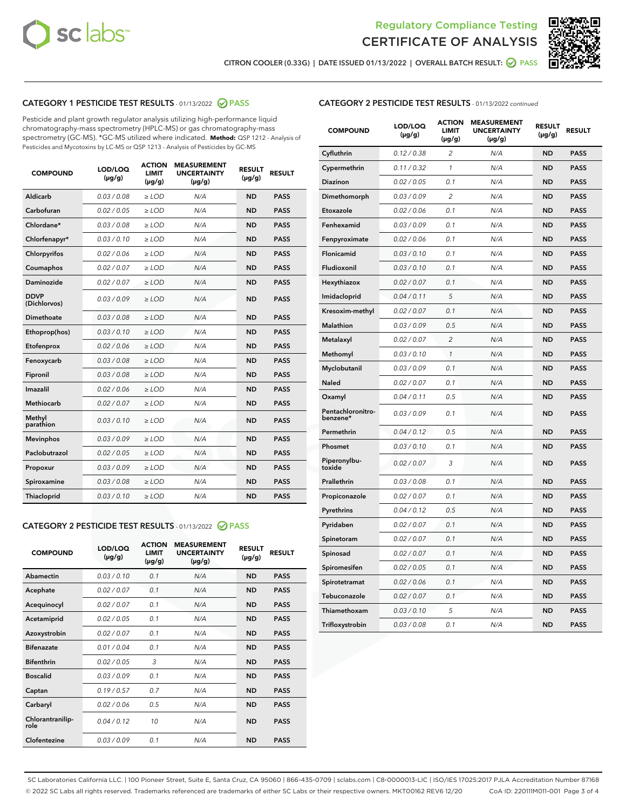



CITRON COOLER (0.33G) | DATE ISSUED 01/13/2022 | OVERALL BATCH RESULT: @ PASS

# CATEGORY 1 PESTICIDE TEST RESULTS - 01/13/2022 2 PASS

Pesticide and plant growth regulator analysis utilizing high-performance liquid chromatography-mass spectrometry (HPLC-MS) or gas chromatography-mass spectrometry (GC-MS). \*GC-MS utilized where indicated. **Method:** QSP 1212 - Analysis of Pesticides and Mycotoxins by LC-MS or QSP 1213 - Analysis of Pesticides by GC-MS

| 0.03 / 0.08<br><b>ND</b><br><b>PASS</b><br>Aldicarb<br>$\ge$ LOD<br>N/A<br>Carbofuran<br>0.02 / 0.05<br>$\geq$ LOD<br>N/A<br><b>ND</b><br><b>PASS</b><br>Chlordane*<br>0.03 / 0.08<br>$\ge$ LOD<br>N/A<br><b>ND</b><br><b>PASS</b><br>Chlorfenapyr*<br>0.03/0.10<br>$\geq$ LOD<br>N/A<br><b>ND</b><br><b>PASS</b><br>Chlorpyrifos<br>0.02 / 0.06<br>N/A<br><b>ND</b><br><b>PASS</b><br>$\ge$ LOD<br>Coumaphos<br>0.02 / 0.07<br>N/A<br><b>ND</b><br><b>PASS</b><br>$\ge$ LOD<br>Daminozide<br>0.02 / 0.07<br>N/A<br><b>ND</b><br><b>PASS</b><br>$\ge$ LOD<br><b>DDVP</b><br>0.03/0.09<br>$>$ LOD<br>N/A<br><b>ND</b><br><b>PASS</b><br>(Dichlorvos)<br>Dimethoate<br>0.03 / 0.08<br>$\ge$ LOD<br><b>ND</b><br><b>PASS</b><br>N/A<br>0.03/0.10<br>N/A<br><b>ND</b><br><b>PASS</b><br>Ethoprop(hos)<br>$>$ LOD<br>0.02 / 0.06<br>N/A<br><b>ND</b><br><b>PASS</b><br>$\ge$ LOD<br>Etofenprox<br>Fenoxycarb<br>0.03 / 0.08<br>$\ge$ LOD<br>N/A<br><b>ND</b><br><b>PASS</b><br>0.03 / 0.08<br>$\ge$ LOD<br>N/A<br><b>ND</b><br><b>PASS</b><br>Fipronil<br>Imazalil<br>0.02 / 0.06<br>$>$ LOD<br>N/A<br><b>ND</b><br><b>PASS</b><br><b>Methiocarb</b><br>0.02 / 0.07<br>$\ge$ LOD<br>N/A<br><b>ND</b><br><b>PASS</b><br>Methyl<br>0.03/0.10<br>N/A<br><b>ND</b><br><b>PASS</b><br>$\ge$ LOD<br>parathion<br>0.03/0.09<br><b>Mevinphos</b><br>$\ge$ LOD<br>N/A<br><b>ND</b><br><b>PASS</b><br>Paclobutrazol<br>0.02 / 0.05<br>$>$ LOD<br>N/A<br><b>ND</b><br><b>PASS</b><br>0.03/0.09<br>N/A<br>$\ge$ LOD<br><b>ND</b><br><b>PASS</b><br>Propoxur<br>0.03 / 0.08<br><b>ND</b><br><b>PASS</b><br>Spiroxamine<br>$\ge$ LOD<br>N/A<br>Thiacloprid<br>0.03/0.10<br>$\ge$ LOD<br>N/A<br><b>ND</b><br><b>PASS</b> | <b>COMPOUND</b> | LOD/LOQ<br>$(\mu g/g)$ | <b>ACTION</b><br><b>LIMIT</b><br>$(\mu g/g)$ | <b>MEASUREMENT</b><br><b>UNCERTAINTY</b><br>$(\mu g/g)$ | <b>RESULT</b><br>$(\mu g/g)$ | <b>RESULT</b> |
|------------------------------------------------------------------------------------------------------------------------------------------------------------------------------------------------------------------------------------------------------------------------------------------------------------------------------------------------------------------------------------------------------------------------------------------------------------------------------------------------------------------------------------------------------------------------------------------------------------------------------------------------------------------------------------------------------------------------------------------------------------------------------------------------------------------------------------------------------------------------------------------------------------------------------------------------------------------------------------------------------------------------------------------------------------------------------------------------------------------------------------------------------------------------------------------------------------------------------------------------------------------------------------------------------------------------------------------------------------------------------------------------------------------------------------------------------------------------------------------------------------------------------------------------------------------------------------------------------------------------------------------------------------------------------------------------------|-----------------|------------------------|----------------------------------------------|---------------------------------------------------------|------------------------------|---------------|
|                                                                                                                                                                                                                                                                                                                                                                                                                                                                                                                                                                                                                                                                                                                                                                                                                                                                                                                                                                                                                                                                                                                                                                                                                                                                                                                                                                                                                                                                                                                                                                                                                                                                                                      |                 |                        |                                              |                                                         |                              |               |
|                                                                                                                                                                                                                                                                                                                                                                                                                                                                                                                                                                                                                                                                                                                                                                                                                                                                                                                                                                                                                                                                                                                                                                                                                                                                                                                                                                                                                                                                                                                                                                                                                                                                                                      |                 |                        |                                              |                                                         |                              |               |
|                                                                                                                                                                                                                                                                                                                                                                                                                                                                                                                                                                                                                                                                                                                                                                                                                                                                                                                                                                                                                                                                                                                                                                                                                                                                                                                                                                                                                                                                                                                                                                                                                                                                                                      |                 |                        |                                              |                                                         |                              |               |
|                                                                                                                                                                                                                                                                                                                                                                                                                                                                                                                                                                                                                                                                                                                                                                                                                                                                                                                                                                                                                                                                                                                                                                                                                                                                                                                                                                                                                                                                                                                                                                                                                                                                                                      |                 |                        |                                              |                                                         |                              |               |
|                                                                                                                                                                                                                                                                                                                                                                                                                                                                                                                                                                                                                                                                                                                                                                                                                                                                                                                                                                                                                                                                                                                                                                                                                                                                                                                                                                                                                                                                                                                                                                                                                                                                                                      |                 |                        |                                              |                                                         |                              |               |
|                                                                                                                                                                                                                                                                                                                                                                                                                                                                                                                                                                                                                                                                                                                                                                                                                                                                                                                                                                                                                                                                                                                                                                                                                                                                                                                                                                                                                                                                                                                                                                                                                                                                                                      |                 |                        |                                              |                                                         |                              |               |
|                                                                                                                                                                                                                                                                                                                                                                                                                                                                                                                                                                                                                                                                                                                                                                                                                                                                                                                                                                                                                                                                                                                                                                                                                                                                                                                                                                                                                                                                                                                                                                                                                                                                                                      |                 |                        |                                              |                                                         |                              |               |
|                                                                                                                                                                                                                                                                                                                                                                                                                                                                                                                                                                                                                                                                                                                                                                                                                                                                                                                                                                                                                                                                                                                                                                                                                                                                                                                                                                                                                                                                                                                                                                                                                                                                                                      |                 |                        |                                              |                                                         |                              |               |
|                                                                                                                                                                                                                                                                                                                                                                                                                                                                                                                                                                                                                                                                                                                                                                                                                                                                                                                                                                                                                                                                                                                                                                                                                                                                                                                                                                                                                                                                                                                                                                                                                                                                                                      |                 |                        |                                              |                                                         |                              |               |
|                                                                                                                                                                                                                                                                                                                                                                                                                                                                                                                                                                                                                                                                                                                                                                                                                                                                                                                                                                                                                                                                                                                                                                                                                                                                                                                                                                                                                                                                                                                                                                                                                                                                                                      |                 |                        |                                              |                                                         |                              |               |
|                                                                                                                                                                                                                                                                                                                                                                                                                                                                                                                                                                                                                                                                                                                                                                                                                                                                                                                                                                                                                                                                                                                                                                                                                                                                                                                                                                                                                                                                                                                                                                                                                                                                                                      |                 |                        |                                              |                                                         |                              |               |
|                                                                                                                                                                                                                                                                                                                                                                                                                                                                                                                                                                                                                                                                                                                                                                                                                                                                                                                                                                                                                                                                                                                                                                                                                                                                                                                                                                                                                                                                                                                                                                                                                                                                                                      |                 |                        |                                              |                                                         |                              |               |
|                                                                                                                                                                                                                                                                                                                                                                                                                                                                                                                                                                                                                                                                                                                                                                                                                                                                                                                                                                                                                                                                                                                                                                                                                                                                                                                                                                                                                                                                                                                                                                                                                                                                                                      |                 |                        |                                              |                                                         |                              |               |
|                                                                                                                                                                                                                                                                                                                                                                                                                                                                                                                                                                                                                                                                                                                                                                                                                                                                                                                                                                                                                                                                                                                                                                                                                                                                                                                                                                                                                                                                                                                                                                                                                                                                                                      |                 |                        |                                              |                                                         |                              |               |
|                                                                                                                                                                                                                                                                                                                                                                                                                                                                                                                                                                                                                                                                                                                                                                                                                                                                                                                                                                                                                                                                                                                                                                                                                                                                                                                                                                                                                                                                                                                                                                                                                                                                                                      |                 |                        |                                              |                                                         |                              |               |
|                                                                                                                                                                                                                                                                                                                                                                                                                                                                                                                                                                                                                                                                                                                                                                                                                                                                                                                                                                                                                                                                                                                                                                                                                                                                                                                                                                                                                                                                                                                                                                                                                                                                                                      |                 |                        |                                              |                                                         |                              |               |
|                                                                                                                                                                                                                                                                                                                                                                                                                                                                                                                                                                                                                                                                                                                                                                                                                                                                                                                                                                                                                                                                                                                                                                                                                                                                                                                                                                                                                                                                                                                                                                                                                                                                                                      |                 |                        |                                              |                                                         |                              |               |
|                                                                                                                                                                                                                                                                                                                                                                                                                                                                                                                                                                                                                                                                                                                                                                                                                                                                                                                                                                                                                                                                                                                                                                                                                                                                                                                                                                                                                                                                                                                                                                                                                                                                                                      |                 |                        |                                              |                                                         |                              |               |
|                                                                                                                                                                                                                                                                                                                                                                                                                                                                                                                                                                                                                                                                                                                                                                                                                                                                                                                                                                                                                                                                                                                                                                                                                                                                                                                                                                                                                                                                                                                                                                                                                                                                                                      |                 |                        |                                              |                                                         |                              |               |
|                                                                                                                                                                                                                                                                                                                                                                                                                                                                                                                                                                                                                                                                                                                                                                                                                                                                                                                                                                                                                                                                                                                                                                                                                                                                                                                                                                                                                                                                                                                                                                                                                                                                                                      |                 |                        |                                              |                                                         |                              |               |
|                                                                                                                                                                                                                                                                                                                                                                                                                                                                                                                                                                                                                                                                                                                                                                                                                                                                                                                                                                                                                                                                                                                                                                                                                                                                                                                                                                                                                                                                                                                                                                                                                                                                                                      |                 |                        |                                              |                                                         |                              |               |

#### CATEGORY 2 PESTICIDE TEST RESULTS - 01/13/2022 2 PASS

| <b>COMPOUND</b>          | LOD/LOO<br>$(\mu g/g)$ | <b>ACTION</b><br>LIMIT<br>$(\mu g/g)$ | <b>MEASUREMENT</b><br><b>UNCERTAINTY</b><br>$(\mu g/g)$ | <b>RESULT</b><br>$(\mu g/g)$ | <b>RESULT</b> |
|--------------------------|------------------------|---------------------------------------|---------------------------------------------------------|------------------------------|---------------|
| Abamectin                | 0.03/0.10              | 0.1                                   | N/A                                                     | <b>ND</b>                    | <b>PASS</b>   |
| Acephate                 | 0.02/0.07              | 0.1                                   | N/A                                                     | <b>ND</b>                    | <b>PASS</b>   |
| Acequinocyl              | 0.02/0.07              | 0.1                                   | N/A                                                     | <b>ND</b>                    | <b>PASS</b>   |
| Acetamiprid              | 0.02/0.05              | 0.1                                   | N/A                                                     | <b>ND</b>                    | <b>PASS</b>   |
| Azoxystrobin             | 0.02/0.07              | 0.1                                   | N/A                                                     | <b>ND</b>                    | <b>PASS</b>   |
| <b>Bifenazate</b>        | 0.01/0.04              | 0.1                                   | N/A                                                     | <b>ND</b>                    | <b>PASS</b>   |
| <b>Bifenthrin</b>        | 0.02/0.05              | 3                                     | N/A                                                     | <b>ND</b>                    | <b>PASS</b>   |
| <b>Boscalid</b>          | 0.03/0.09              | 0.1                                   | N/A                                                     | <b>ND</b>                    | <b>PASS</b>   |
| Captan                   | 0.19/0.57              | 0.7                                   | N/A                                                     | <b>ND</b>                    | <b>PASS</b>   |
| Carbaryl                 | 0.02/0.06              | 0.5                                   | N/A                                                     | <b>ND</b>                    | <b>PASS</b>   |
| Chlorantranilip-<br>role | 0.04/0.12              | 10                                    | N/A                                                     | <b>ND</b>                    | <b>PASS</b>   |
| Clofentezine             | 0.03/0.09              | 0.1                                   | N/A                                                     | <b>ND</b>                    | <b>PASS</b>   |

#### CATEGORY 2 PESTICIDE TEST RESULTS - 01/13/2022 continued

| <b>COMPOUND</b>               | LOD/LOQ<br>(µg/g) | <b>ACTION</b><br><b>LIMIT</b><br>$(\mu g/g)$ | <b>MEASUREMENT</b><br><b>UNCERTAINTY</b><br>$(\mu g/g)$ | <b>RESULT</b><br>(µg/g) | <b>RESULT</b> |
|-------------------------------|-------------------|----------------------------------------------|---------------------------------------------------------|-------------------------|---------------|
| Cyfluthrin                    | 0.12 / 0.38       | $\overline{c}$                               | N/A                                                     | <b>ND</b>               | <b>PASS</b>   |
| Cypermethrin                  | 0.11 / 0.32       | 1                                            | N/A                                                     | ND                      | <b>PASS</b>   |
| Diazinon                      | 0.02 / 0.05       | 0.1                                          | N/A                                                     | ND                      | <b>PASS</b>   |
| Dimethomorph                  | 0.03 / 0.09       | 2                                            | N/A                                                     | ND                      | <b>PASS</b>   |
| Etoxazole                     | 0.02 / 0.06       | 0.1                                          | N/A                                                     | <b>ND</b>               | <b>PASS</b>   |
| Fenhexamid                    | 0.03 / 0.09       | 0.1                                          | N/A                                                     | <b>ND</b>               | <b>PASS</b>   |
| Fenpyroximate                 | 0.02 / 0.06       | 0.1                                          | N/A                                                     | ND                      | <b>PASS</b>   |
| Flonicamid                    | 0.03 / 0.10       | 0.1                                          | N/A                                                     | ND                      | <b>PASS</b>   |
| Fludioxonil                   | 0.03 / 0.10       | 0.1                                          | N/A                                                     | <b>ND</b>               | <b>PASS</b>   |
| Hexythiazox                   | 0.02 / 0.07       | 0.1                                          | N/A                                                     | ND                      | <b>PASS</b>   |
| Imidacloprid                  | 0.04 / 0.11       | 5                                            | N/A                                                     | ND                      | <b>PASS</b>   |
| Kresoxim-methyl               | 0.02 / 0.07       | 0.1                                          | N/A                                                     | <b>ND</b>               | <b>PASS</b>   |
| <b>Malathion</b>              | 0.03 / 0.09       | 0.5                                          | N/A                                                     | ND                      | <b>PASS</b>   |
| Metalaxyl                     | 0.02 / 0.07       | $\overline{c}$                               | N/A                                                     | ND                      | <b>PASS</b>   |
| Methomyl                      | 0.03 / 0.10       | 1                                            | N/A                                                     | <b>ND</b>               | <b>PASS</b>   |
| Myclobutanil                  | 0.03 / 0.09       | 0.1                                          | N/A                                                     | ND                      | <b>PASS</b>   |
| Naled                         | 0.02 / 0.07       | 0.1                                          | N/A                                                     | ND                      | <b>PASS</b>   |
| Oxamyl                        | 0.04 / 0.11       | 0.5                                          | N/A                                                     | ND                      | <b>PASS</b>   |
| Pentachloronitro-<br>benzene* | 0.03 / 0.09       | 0.1                                          | N/A                                                     | ND                      | <b>PASS</b>   |
| Permethrin                    | 0.04 / 0.12       | 0.5                                          | N/A                                                     | <b>ND</b>               | <b>PASS</b>   |
| Phosmet                       | 0.03 / 0.10       | 0.1                                          | N/A                                                     | <b>ND</b>               | <b>PASS</b>   |
| Piperonylbu-<br>toxide        | 0.02 / 0.07       | 3                                            | N/A                                                     | ND                      | <b>PASS</b>   |
| Prallethrin                   | 0.03 / 0.08       | 0.1                                          | N/A                                                     | <b>ND</b>               | <b>PASS</b>   |
| Propiconazole                 | 0.02 / 0.07       | 0.1                                          | N/A                                                     | ND                      | <b>PASS</b>   |
| Pyrethrins                    | 0.04 / 0.12       | 0.5                                          | N/A                                                     | ND                      | <b>PASS</b>   |
| Pyridaben                     | 0.02 / 0.07       | 0.1                                          | N/A                                                     | ND                      | <b>PASS</b>   |
| Spinetoram                    | 0.02 / 0.07       | 0.1                                          | N/A                                                     | ND                      | <b>PASS</b>   |
| Spinosad                      | 0.02 / 0.07       | 0.1                                          | N/A                                                     | ND                      | <b>PASS</b>   |
| Spiromesifen                  | 0.02 / 0.05       | 0.1                                          | N/A                                                     | <b>ND</b>               | <b>PASS</b>   |
| Spirotetramat                 | 0.02 / 0.06       | 0.1                                          | N/A                                                     | ND                      | <b>PASS</b>   |
| Tebuconazole                  | 0.02 / 0.07       | 0.1                                          | N/A                                                     | ND                      | <b>PASS</b>   |
| Thiamethoxam                  | 0.03 / 0.10       | 5                                            | N/A                                                     | <b>ND</b>               | <b>PASS</b>   |
| Trifloxystrobin               | 0.03 / 0.08       | 0.1                                          | N/A                                                     | <b>ND</b>               | <b>PASS</b>   |

SC Laboratories California LLC. | 100 Pioneer Street, Suite E, Santa Cruz, CA 95060 | 866-435-0709 | sclabs.com | C8-0000013-LIC | ISO/IES 17025:2017 PJLA Accreditation Number 87168 © 2022 SC Labs all rights reserved. Trademarks referenced are trademarks of either SC Labs or their respective owners. MKT00162 REV6 12/20 CoA ID: 220111M011-001 Page 3 of 4